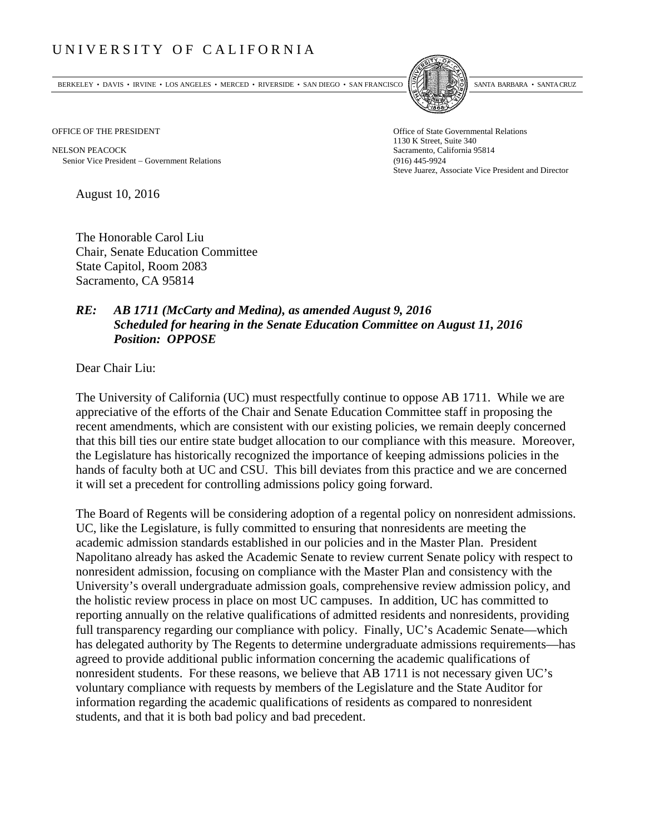## UNIVERSITY OF CALIFORNIA

BERKELEY • DAVIS • IRVINE • LOS ANGELES • MERCED • RIVERSIDE • SAN DIEGO • SAN FRANCISCO SANTA BARBARA • SANTA CRUZ



OFFICE OF THE PRESIDENT STATES OF THE PRESIDENT

NELSON PEACOCK Sacramento, California 95814 Senior Vice President Government Relations (916) 445-9924

1130 K Street, Suite 340 Steve Juarez, Associate Vice President and Director

August 10, 2016

The Honorable Carol Liu Chair, Senate Education Committee State Capitol, Room 2083 Sacramento, CA 95814

## *RE: AB 1711 (McCarty and Medina), as amended August 9, 2016 Scheduled for hearing in the Senate Education Committee on August 11, 2016 Position: OPPOSE*

Dear Chair Liu:

The University of California (UC) must respectfully continue to oppose AB 1711. While we are appreciative of the efforts of the Chair and Senate Education Committee staff in proposing the recent amendments, which are consistent with our existing policies, we remain deeply concerned that this bill ties our entire state budget allocation to our compliance with this measure. Moreover, the Legislature has historically recognized the importance of keeping admissions policies in the hands of faculty both at UC and CSU. This bill deviates from this practice and we are concerned it will set a precedent for controlling admissions policy going forward.

The Board of Regents will be considering adoption of a regental policy on nonresident admissions. UC, like the Legislature, is fully committed to ensuring that nonresidents are meeting the academic admission standards established in our policies and in the Master Plan. President Napolitano already has asked the Academic Senate to review current Senate policy with respect to nonresident admission, focusing on compliance with the Master Plan and consistency with the University's overall undergraduate admission goals, comprehensive review admission policy, and the holistic review process in place on most UC campuses. In addition, UC has committed to reporting annually on the relative qualifications of admitted residents and nonresidents, providing full transparency regarding our compliance with policy. Finally, UC's Academic Senate—which has delegated authority by The Regents to determine undergraduate admissions requirements—has agreed to provide additional public information concerning the academic qualifications of nonresident students. For these reasons, we believe that AB 1711 is not necessary given UC's voluntary compliance with requests by members of the Legislature and the State Auditor for information regarding the academic qualifications of residents as compared to nonresident students, and that it is both bad policy and bad precedent.